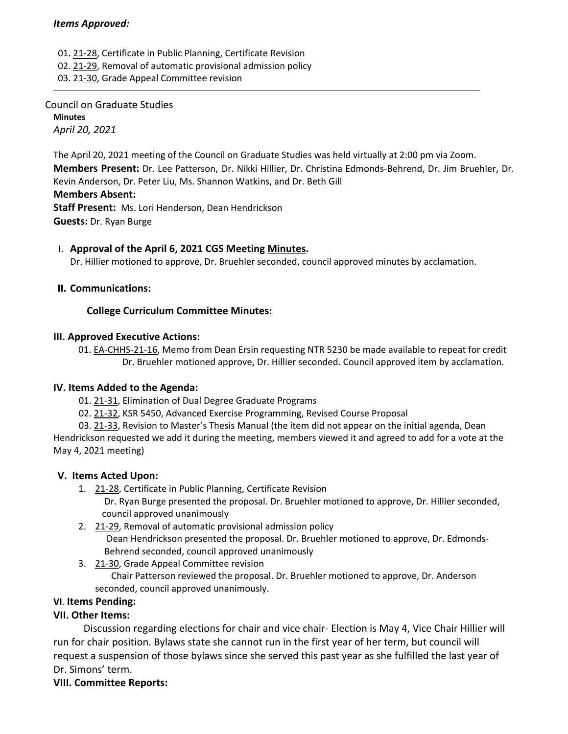01. 21‐[28,](https://castle.eiu.edu/eiucgs/currentagendaitems/agenda21-28.pdf) Certificate in Public Planning, Certificate Revision

02. 21‐[29,](https://castle.eiu.edu/eiucgs/currentagendaitems/agenda21-29.pdf) Removal of automatic provisional admission policy

03. 21‐[30,](https://castle.eiu.edu/eiucgs/currentagendaitems/agenda21-30.pdf) Grade Appeal Committee revision

Council on Graduate Studies **Minutes** *April 20, 2021*

The April 20, 2021 meeting of the Council on Graduate Studies was held virtually at 2:00 pm via Zoom. **Members Present:** Dr. Lee Patterson, Dr. Nikki Hillier, Dr. Christina Edmonds‐Behrend, Dr. Jim Bruehler, Dr. Kevin Anderson, Dr. Peter Liu, Ms. Shannon Watkins, and Dr. Beth Gill

### **Members Absent:**

**Staff Present:** Ms. Lori Henderson, Dean Hendrickson **Guests:** Dr. Ryan Burge

## I. **Approval of the April 6, 2021 CGS Meeting [Minutes.](https://castle.eiu.edu/eiucgs/currentminutes/Minutes4-6-21.pdf)**

Dr. Hillier motioned to approve, Dr. Bruehler seconded, council approved minutes by acclamation.

## **II. Communications:**

# **College Curriculum Committee Minutes:**

## **III. Approved Executive Actions:**

01. EA‐[CHHS](https://castle.eiu.edu/eiucgs/exec-actions/EA-CHHS-21-16.pdf)‐21‐16, Memo from Dean Ersin requesting NTR 5230 be made available to repeat for credit Dr. Bruehler motioned approve, Dr. Hillier seconded. Council approved item by acclamation.

## **IV. Items Added to the Agenda:**

01. 21‐[31](https://castle.eiu.edu/eiucgs/currentagendaitems/agenda21-31.pdf), Elimination of Dual Degree Graduate Programs

- 02. 21‐[32,](https://castle.eiu.edu/eiucgs/currentagendaitems/agenda21-32.pdf) KSR 5450, Advanced Exercise Programming, Revised Course Proposal
- 03. 21‐[33,](https://castle.eiu.edu/eiucgs/currentagendaitems/agenda21-33.pdf) Revision to Master's Thesis Manual (the item did not appear on the initial agenda, Dean

Hendrickson requested we add it during the meeting, members viewed it and agreed to add for a vote at the May 4, 2021 meeting)

## **V. Items Acted Upon:**

- 1. [21](https://castle.eiu.edu/eiucgs/currentagendaitems/agenda21-28.pdf)‐28, Certificate in Public Planning, Certificate Revision Dr. Ryan Burge presented the proposal. Dr. Bruehler motioned to approve, Dr. Hillier seconded, council approved unanimously
- 2. 21‐[29,](https://castle.eiu.edu/eiucgs/currentagendaitems/agenda21-29.pdf) Removal of automatic provisional admission policy Dean Hendrickson presented the proposal. Dr. Bruehler motioned to approve, Dr. Edmonds‐ Behrend seconded, council approved unanimously
- 3. 21‐[30,](https://castle.eiu.edu/eiucgs/currentagendaitems/agenda21-30.pdf) Grade Appeal Committee revision Chair Patterson reviewed the proposal. Dr. Bruehler motioned to approve, Dr. Anderson seconded, council approved unanimously.

## **VI**. **Items Pending:**

## **VII. Other Items:**

 Discussion regarding elections for chair and vice chair‐ Election is May 4, Vice Chair Hillier will run for chair position. Bylaws state she cannot run in the first year of her term, but council will request a suspension of those bylaws since she served this past year as she fulfilled the last year of Dr. Simons' term.

## **VIII. Committee Reports:**